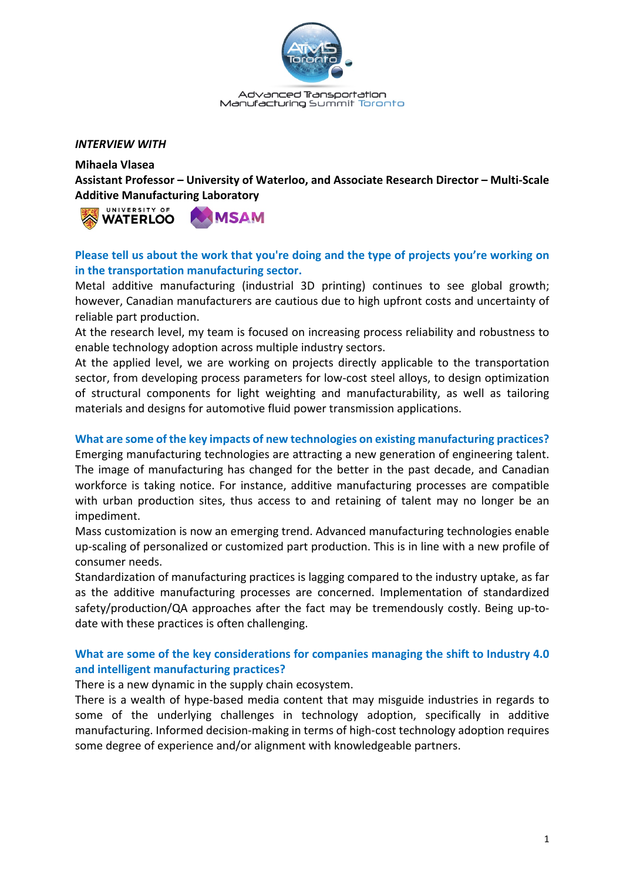

Advanced Transportation Manufacturing Summit Toronto

#### *INTERVIEW WITH*

**Mihaela Vlasea**

**Assistant Professor – University of Waterloo, and Associate Research Director – Multi-Scale Additive Manufacturing Laboratory**



# **Please tell us about the work that you're doing and the type of projects you're working on in the transportation manufacturing sector.**

Metal additive manufacturing (industrial 3D printing) continues to see global growth; however, Canadian manufacturers are cautious due to high upfront costs and uncertainty of reliable part production.

At the research level, my team is focused on increasing process reliability and robustness to enable technology adoption across multiple industry sectors.

At the applied level, we are working on projects directly applicable to the transportation sector, from developing process parameters for low-cost steel alloys, to design optimization of structural components for light weighting and manufacturability, as well as tailoring materials and designs for automotive fluid power transmission applications.

#### **What are some of the key impacts of new technologies on existing manufacturing practices?**

Emerging manufacturing technologies are attracting a new generation of engineering talent. The image of manufacturing has changed for the better in the past decade, and Canadian workforce is taking notice. For instance, additive manufacturing processes are compatible with urban production sites, thus access to and retaining of talent may no longer be an impediment.

Mass customization is now an emerging trend. Advanced manufacturing technologies enable up-scaling of personalized or customized part production. This is in line with a new profile of consumer needs.

Standardization of manufacturing practices is lagging compared to the industry uptake, as far as the additive manufacturing processes are concerned. Implementation of standardized safety/production/QA approaches after the fact may be tremendously costly. Being up-todate with these practices is often challenging.

# **What are some of the key considerations for companies managing the shift to Industry 4.0 and intelligent manufacturing practices?**

There is a new dynamic in the supply chain ecosystem.

There is a wealth of hype-based media content that may misguide industries in regards to some of the underlying challenges in technology adoption, specifically in additive manufacturing. Informed decision-making in terms of high-cost technology adoption requires some degree of experience and/or alignment with knowledgeable partners.